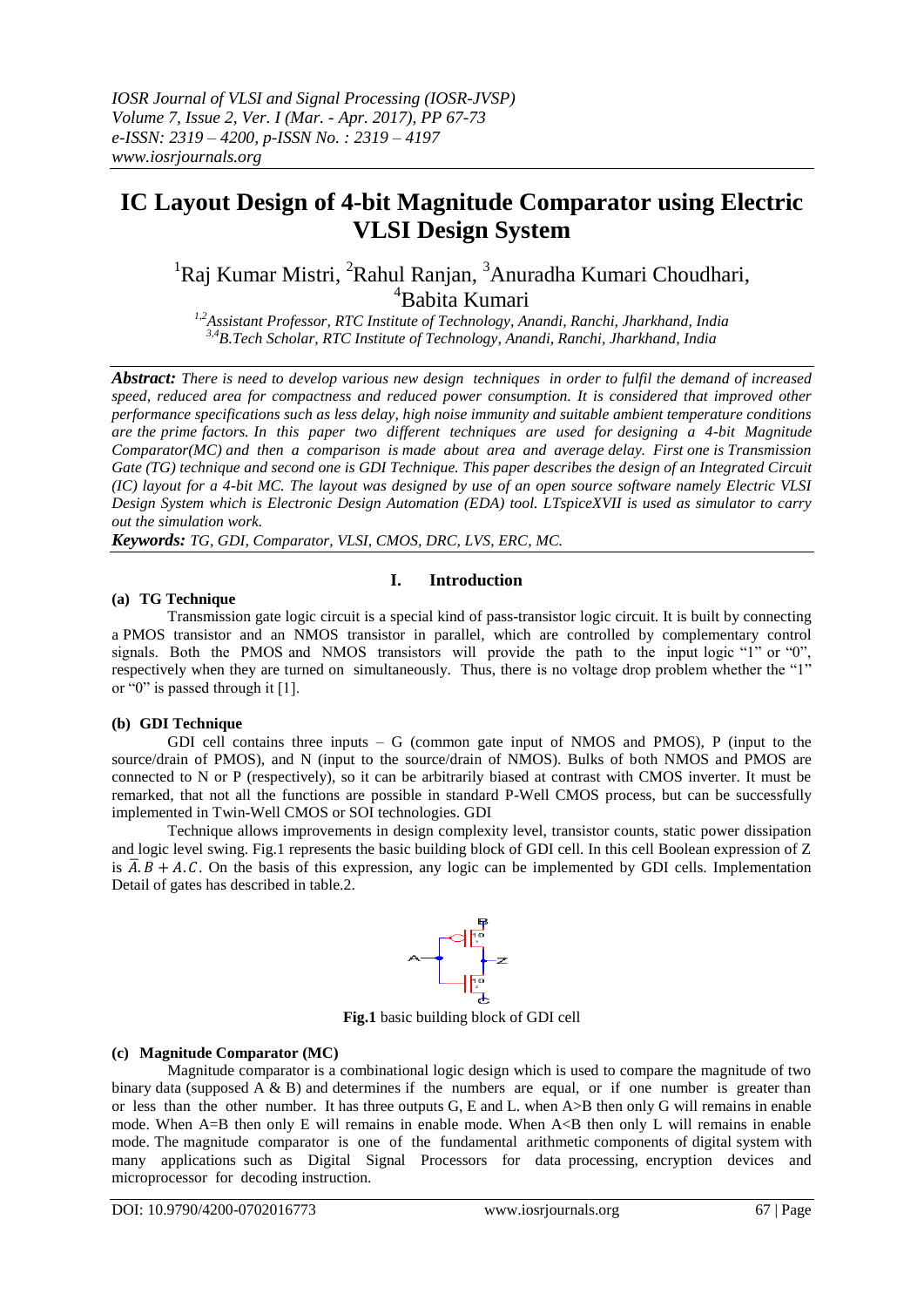# **IC Layout Design of 4-bit Magnitude Comparator using Electric VLSI Design System**

<sup>1</sup>Raj Kumar Mistri, <sup>2</sup>Rahul Ranjan, <sup>3</sup>Anuradha Kumari Choudhari, <sup>4</sup>Babita Kumari

*1,2Assistant Professor, RTC Institute of Technology, Anandi, Ranchi, Jharkhand, India 3,4B.Tech Scholar, RTC Institute of Technology, Anandi, Ranchi, Jharkhand, India*

*Abstract: There is need to develop various new design techniques in order to fulfil the demand of increased speed, reduced area for compactness and reduced power consumption. It is considered that improved other performance specifications such as less delay, high noise immunity and suitable ambient temperature conditions are the prime factors. In this paper two different techniques are used for designing a 4-bit Magnitude Comparator(MC) and then a comparison is made about area and average delay. First one is Transmission Gate (TG) technique and second one is GDI Technique. This paper describes the design of an Integrated Circuit (IC) layout for a 4-bit MC. The layout was designed by use of an open source software namely Electric VLSI Design System which is Electronic Design Automation (EDA) tool. LTspiceXVII is used as simulator to carry out the simulation work.*

*Keywords: TG, GDI, Comparator, VLSI, CMOS, DRC, LVS, ERC, MC.*

## **I. Introduction**

## **(a) TG Technique**

Transmission gate logic circuit is a special kind of pass-transistor logic circuit. It is built by connecting a PMOS transistor and an NMOS transistor in parallel, which are controlled by complementary control signals. Both the PMOS and NMOS transistors will provide the path to the input logic "1" or "0", respectively when they are turned on simultaneously. Thus, there is no voltage drop problem whether the "1" or "0" is passed through it [1].

## **(b) GDI Technique**

GDI cell contains three inputs – G (common gate input of NMOS and PMOS), P (input to the source/drain of PMOS), and N (input to the source/drain of NMOS). Bulks of both NMOS and PMOS are connected to N or P (respectively), so it can be arbitrarily biased at contrast with CMOS inverter. It must be remarked, that not all the functions are possible in standard P-Well CMOS process, but can be successfully implemented in Twin-Well CMOS or SOI technologies. GDI

Technique allows improvements in design complexity level, transistor counts, static power dissipation and logic level swing. Fig.1 represents the basic building block of GDI cell. In this cell Boolean expression of Z is  $\overline{A}$ .  $\overline{B}$  + A. C. On the basis of this expression, any logic can be implemented by GDI cells. Implementation Detail of gates has described in table.2.



**Fig.1** basic building block of GDI cell

## **(c) Magnitude Comparator (MC)**

Magnitude comparator is a combinational logic design which is used to compare the magnitude of two binary data (supposed  $A \& B$ ) and determines if the numbers are equal, or if one number is greater than or less than the other number. It has three outputs G, E and L. when A>B then only G will remains in enable mode. When  $A=B$  then only E will remains in enable mode. When  $A<sub>2</sub>B$  then only L will remains in enable mode. The magnitude comparator is one of the fundamental arithmetic components of digital system with many applications such as Digital Signal Processors for data processing, encryption devices and microprocessor for decoding instruction.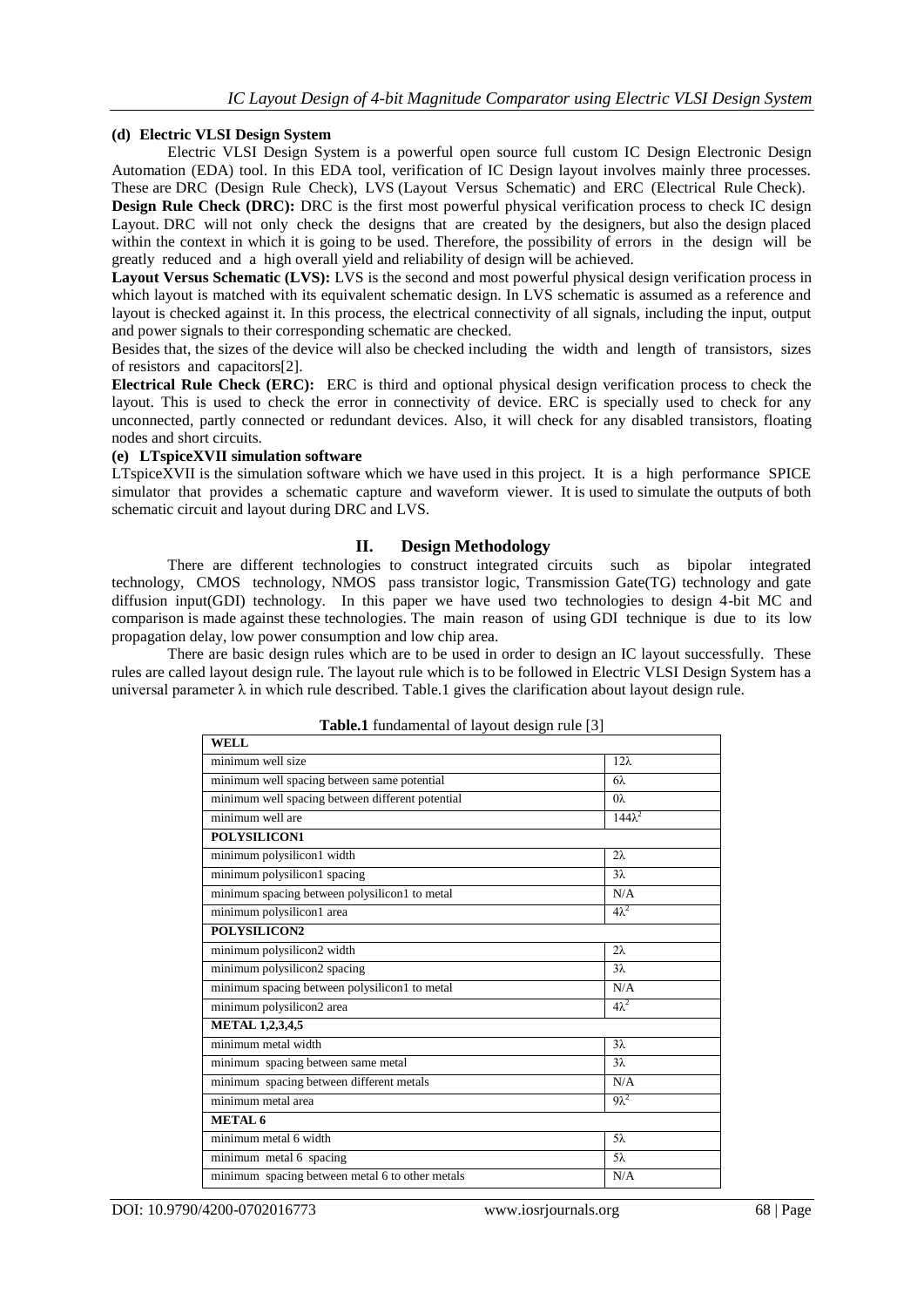## **(d) Electric VLSI Design System**

Electric VLSI Design System is a powerful open source full custom IC Design Electronic Design Automation (EDA) tool. In this EDA tool, verification of IC Design layout involves mainly three processes. These are DRC (Design Rule Check), LVS (Layout Versus Schematic) and ERC (Electrical Rule Check).

**Design Rule Check (DRC):** DRC is the first most powerful physical verification process to check IC design Layout. DRC will not only check the designs that are created by the designers, but also the design placed within the context in which it is going to be used. Therefore, the possibility of errors in the design will be greatly reduced and a high overall yield and reliability of design will be achieved.

**Layout Versus Schematic (LVS):** LVS is the second and most powerful physical design verification process in which layout is matched with its equivalent schematic design. In LVS schematic is assumed as a reference and layout is checked against it. In this process, the electrical connectivity of all signals, including the input, output and power signals to their corresponding schematic are checked.

Besides that, the sizes of the device will also be checked including the width and length of transistors, sizes of resistors and capacitors[2].

**Electrical Rule Check (ERC):** ERC is third and optional physical design verification process to check the layout. This is used to check the error in connectivity of device. ERC is specially used to check for any unconnected, partly connected or redundant devices. Also, it will check for any disabled transistors, floating nodes and short circuits.

#### **(e) LTspiceXVII simulation software**

LTspiceXVII is the simulation software which we have used in this project. It is a high performance SPICE simulator that provides a schematic capture and waveform viewer. It is used to simulate the outputs of both schematic circuit and layout during DRC and LVS.

## **II. Design Methodology**

There are different technologies to construct integrated circuits such as bipolar integrated technology, CMOS technology, NMOS pass transistor logic, Transmission Gate(TG) technology and gate diffusion input(GDI) technology. In this paper we have used two technologies to design 4-bit MC and comparison is made against these technologies. The main reason of using GDI technique is due to its low propagation delay, low power consumption and low chip area.

There are basic design rules which are to be used in order to design an IC layout successfully. These rules are called layout design rule. The layout rule which is to be followed in Electric VLSI Design System has a universal parameter  $\lambda$  in which rule described. Table.1 gives the clarification about layout design rule.

| <b>rapic.</b> I undamental of layout design rule [5] |                |  |
|------------------------------------------------------|----------------|--|
| <b>WELL</b>                                          |                |  |
| minimum well size                                    | $12\lambda$    |  |
| minimum well spacing between same potential          | 6λ             |  |
| minimum well spacing between different potential     | $0\lambda$     |  |
| minimum well are                                     | $144\lambda^2$ |  |
| POLYSILICON1                                         |                |  |
| minimum polysilicon1 width                           | $2\lambda$     |  |
| minimum polysilicon1 spacing                         | $3\lambda$     |  |
| minimum spacing between polysilicon1 to metal        | N/A            |  |
| minimum polysilicon1 area                            | $4\lambda^2$   |  |
| POLYSILICON2                                         |                |  |
| minimum polysilicon2 width                           | $2\lambda$     |  |
| minimum polysilicon2 spacing                         | $3\lambda$     |  |
| minimum spacing between polysilicon1 to metal        | N/A            |  |
| minimum polysilicon2 area                            | $4\lambda^2$   |  |
| <b>METAL 1,2,3,4,5</b>                               |                |  |
| minimum metal width                                  | $3\lambda$     |  |
| minimum spacing between same metal                   | $3\lambda$     |  |
| minimum spacing between different metals             | N/A            |  |
| minimum metal area                                   | $9\lambda^2$   |  |
| METAL <sub>6</sub>                                   |                |  |
| minimum metal 6 width                                | $5\lambda$     |  |
| minimum metal 6 spacing                              | $5\lambda$     |  |
| minimum spacing between metal 6 to other metals      | N/A            |  |

**Table.1** fundamental of layout design rule [3]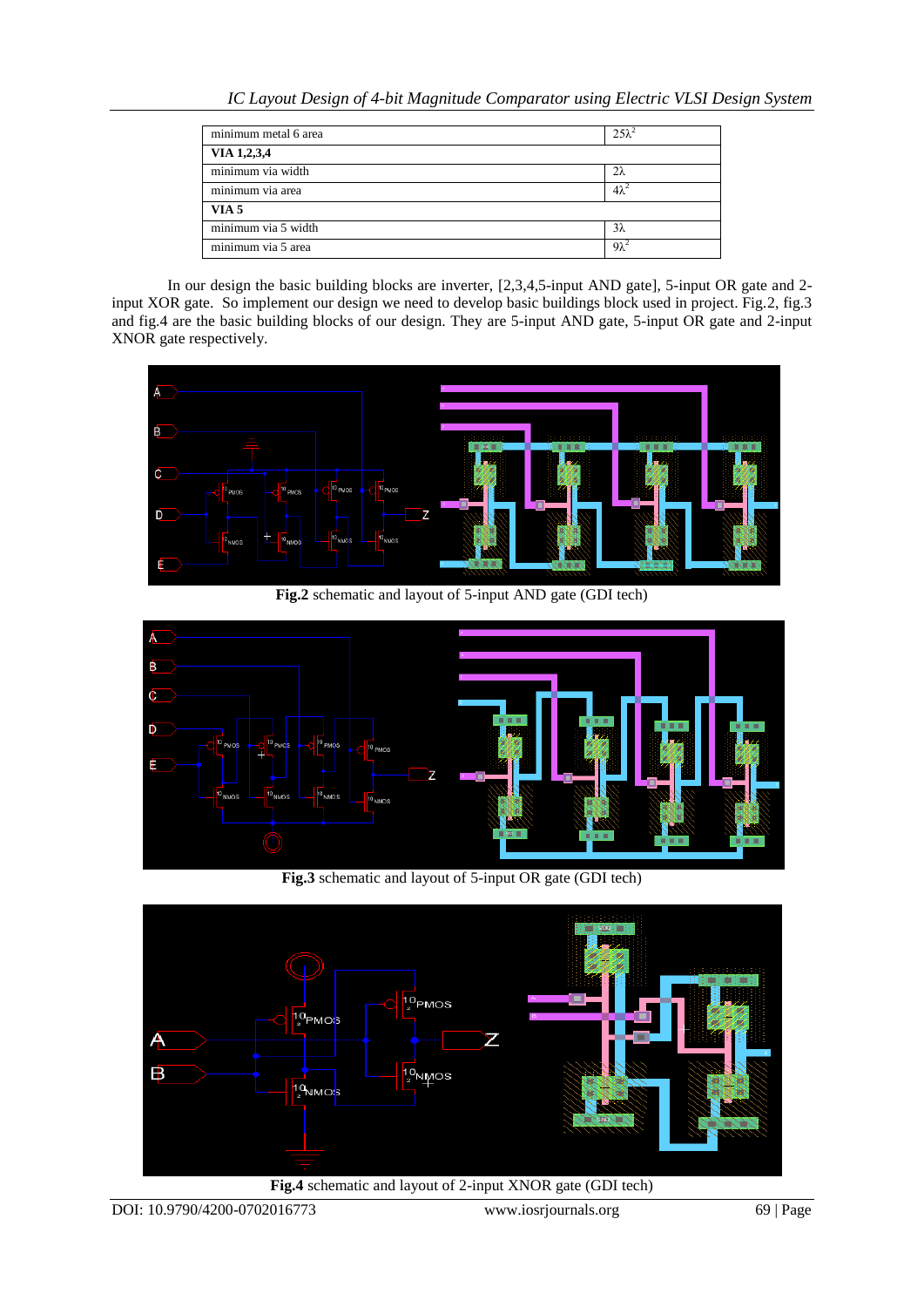| minimum metal 6 area | $25\lambda^2$ |
|----------------------|---------------|
| VIA 1,2,3,4          |               |
| minimum via width    | $2\lambda$    |
| minimum via area     | $4\lambda^2$  |
| <b>VIA 5</b>         |               |
| minimum via 5 width  | $3\lambda$    |
| minimum via 5 area   | $9\lambda^2$  |

In our design the basic building blocks are inverter, [2,3,4,5-input AND gate], 5-input OR gate and 2 input XOR gate. So implement our design we need to develop basic buildings block used in project. Fig.2, fig.3 and fig.4 are the basic building blocks of our design. They are 5-input AND gate, 5-input OR gate and 2-input XNOR gate respectively.



**Fig.2** schematic and layout of 5-input AND gate (GDI tech)



**Fig.3** schematic and layout of 5-input OR gate (GDI tech)





DOI: 10.9790/4200-0702016773 www.iosrjournals.org 69 | Page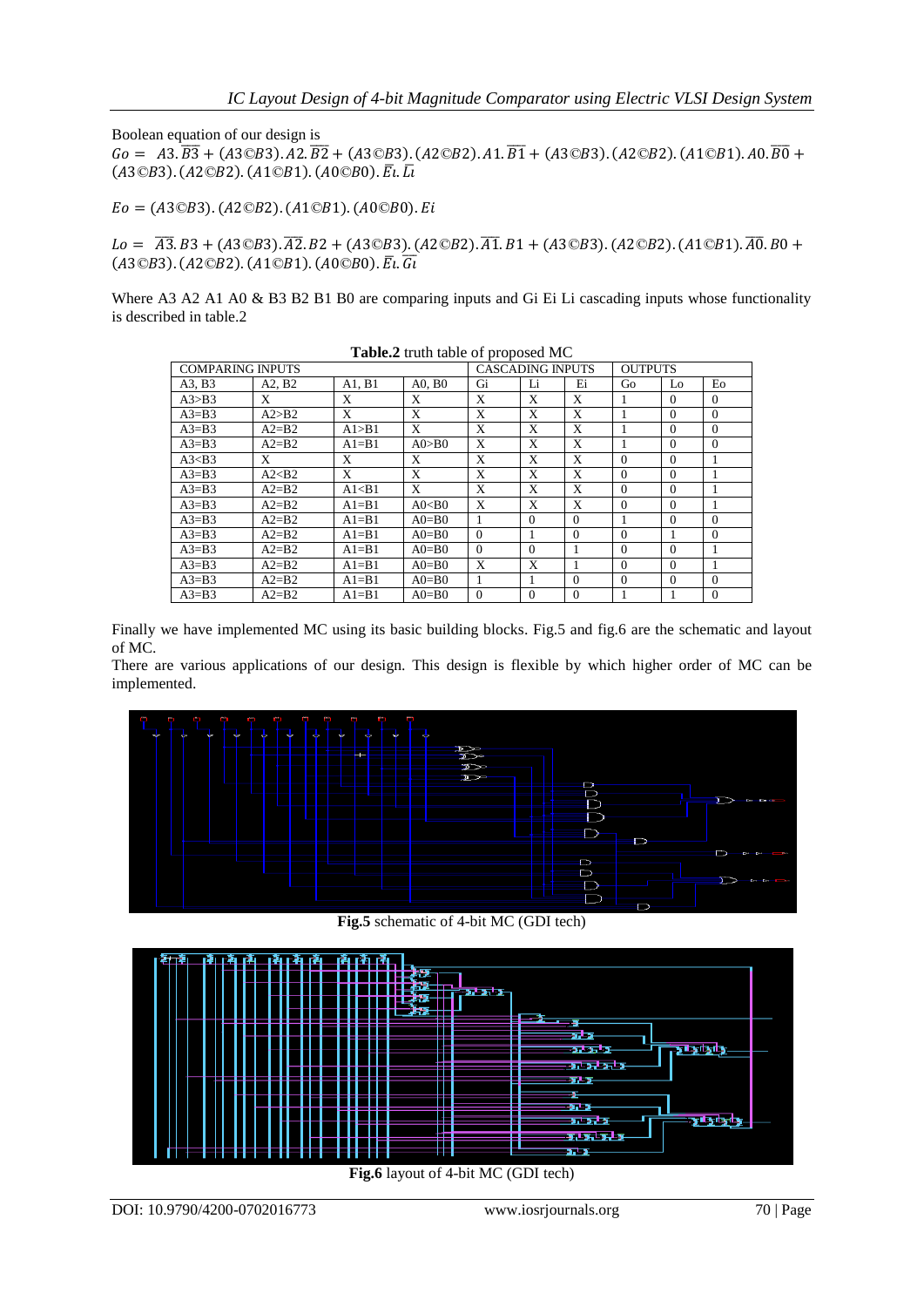Boolean equation of our design is  $Go = A3.\overline{B3} + (A3\overline{C}B3).A2.\overline{B2} + (A3\overline{C}B3).A2\overline{C}B2).A1.\overline{B1} + (A3\overline{C}B3).A2\overline{C}B2).A1\overline{C}B1.$  $(A3@B3)$ .  $(A2@B2)$ .  $(A1@B1)$ .  $(A0@B0)$ .  $\overline{E}$ *i*.  $\overline{L}$ *i* 

 $E_0 = (A3 \odot B3)$ . (A2 $\odot B2$ ). (A1 $\odot B1$ ). (A0 $\odot B0$ ). Ei

 $Lo = \overline{A3}.B3 + (A3 \odot B3).\overline{A2}.B2 + (A3 \odot B3). (A2 \odot B2).\overline{A1}.B1 + (A3 \odot B3). (A2 \odot B2). (A1 \odot B1).\overline{A0}.B0 +$  $(A3@B3)$ .  $(A2@B2)$ .  $(A1@B1)$ .  $(A0@B0)$ .  $\overline{E}$ *i*.  $\overline{G}$ *i* 

Where A3 A2 A1 A0 & B3 B2 B1 B0 are comparing inputs and Gi Ei Li cascading inputs whose functionality is described in table.2

| <b>Lable.</b> I will table of proposed MC |          |           |                         |          |                |          |          |          |              |
|-------------------------------------------|----------|-----------|-------------------------|----------|----------------|----------|----------|----------|--------------|
| <b>COMPARING INPUTS</b>                   |          |           | <b>CASCADING INPUTS</b> |          | <b>OUTPUTS</b> |          |          |          |              |
| A3. B3                                    | A2, B2   | A1, B1    | A0, B0                  | Gi       | Li             | Ei       | Go       | Lo       | Eo           |
| A3 > B3                                   | X        | X         | X                       | X        | X              | X        |          | $\Omega$ | $\theta$     |
| $A3 = B3$                                 | A2 > B2  | X         | X                       | X        | X              | X        |          | $\Omega$ | $\Omega$     |
| $A3 = B3$                                 | $A2= B2$ | A1 > B1   | X                       | X        | X              | X        |          | $\Omega$ | $\Omega$     |
| $A3 = B3$                                 | $A2=$ B2 | $A1 = B1$ | A0 > B0                 | X        | X              | X        |          | $\Omega$ | $\mathbf{0}$ |
| A3 <sub>5</sub>                           | X        | X         | X                       | X        | X              | X        | $\Omega$ | $\Omega$ |              |
| $A3 = B3$                                 | A2 < B2  | X         | X                       | X        | X              | X        | $\Omega$ | $\Omega$ |              |
| $A3 = B3$                                 | $A2= B2$ | A1 < B1   | X                       | X        | X              | X        | $\Omega$ | $\Omega$ |              |
| $A3 = B3$                                 | $A2= B2$ | $A1 = B1$ | A0 <sub>50</sub>        | X        | X              | X        | $\Omega$ | $\Omega$ |              |
| $A3 = B3$                                 | $A2= B2$ | $A1 = B1$ | $A0 = B0$               |          | $\Omega$       | $\Omega$ | 1        | $\Omega$ | $\Omega$     |
| $A3 = B3$                                 | $A2= B2$ | $A1 = B1$ | $A0 = B0$               | $\Omega$ | 1              | $\Omega$ | $\Omega$ | 1        | $\theta$     |
| $A3 = B3$                                 | $A2=$ B2 | $A1 = B1$ | $A0 = B0$               | $\Omega$ | $\Omega$       |          | $\Omega$ | $\Omega$ |              |
| $A3=BA$                                   | $A2= B2$ | $A1 = B1$ | $A0 = B0$               | X        | X              |          | $\Omega$ | $\Omega$ |              |
| $A3 = B3$                                 | $A2= B2$ | $A1 = B1$ | $A0 = B0$               |          |                | $\Omega$ | $\Omega$ | $\Omega$ | $\Omega$     |
| $A3 = B3$                                 | $A2= B2$ | $A1 = B1$ | $A0 = B0$               | $\Omega$ | $\overline{0}$ | $\Omega$ |          |          | $\mathbf{0}$ |

**Table.2** truth table of proposed MC

Finally we have implemented MC using its basic building blocks. Fig.5 and fig.6 are the schematic and layout of MC.

There are various applications of our design. This design is flexible by which higher order of MC can be implemented.



**Fig.5** schematic of 4-bit MC (GDI tech)



**Fig.6** layout of 4-bit MC (GDI tech)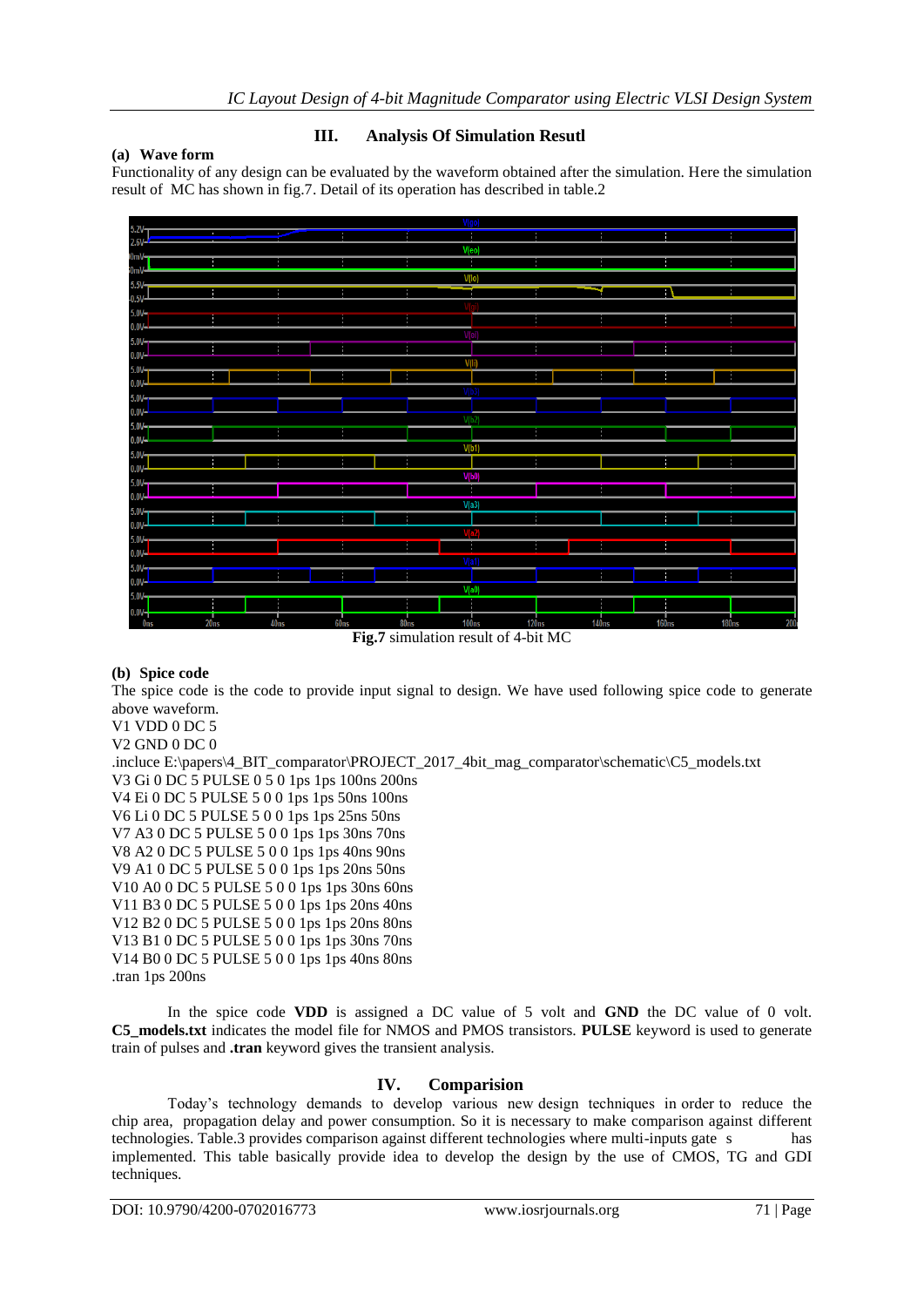## **(a) Wave form**

## **III. Analysis Of Simulation Resutl**

Functionality of any design can be evaluated by the waveform obtained after the simulation. Here the simulation result of MC has shown in fig.7. Detail of its operation has described in table.2

| $5.2V -$  | V(go)                                                                                                                       |                             |                     |                    |  |  |  |
|-----------|-----------------------------------------------------------------------------------------------------------------------------|-----------------------------|---------------------|--------------------|--|--|--|
| $2.6V -$  | $\mathbf{u}$<br>Ŧ                                                                                                           | т                           | П                   | Ŧ<br>Ŧ             |  |  |  |
|           |                                                                                                                             | V(eo)                       |                     |                    |  |  |  |
| 0mV       | H<br>H                                                                                                                      | ÷                           | H                   | н<br>И             |  |  |  |
| i0mV-     |                                                                                                                             | $V($ lo $)$                 |                     |                    |  |  |  |
| $5.5V -$  | ٠                                                                                                                           | ۷                           |                     | n                  |  |  |  |
| $-0.5V -$ |                                                                                                                             |                             |                     |                    |  |  |  |
| $5.0V -$  |                                                                                                                             | N                           |                     | Н                  |  |  |  |
| $0.0V -$  |                                                                                                                             | Vlei                        |                     |                    |  |  |  |
| $5.0V -$  |                                                                                                                             |                             |                     | H                  |  |  |  |
| $0.0V -$  |                                                                                                                             | V(li)                       |                     |                    |  |  |  |
| $5.0V -$  | и                                                                                                                           |                             | п                   | H                  |  |  |  |
| $0.0V -$  |                                                                                                                             | VIb3l                       |                     |                    |  |  |  |
| $5.0V -$  |                                                                                                                             |                             |                     |                    |  |  |  |
| $0.0V -$  |                                                                                                                             | V(b2)                       |                     |                    |  |  |  |
| $5.0V -$  | ٠<br>ĸ                                                                                                                      |                             | п<br>И              |                    |  |  |  |
| $0.0V -$  |                                                                                                                             | V(b1)                       |                     |                    |  |  |  |
| $5.0V -$  |                                                                                                                             |                             |                     | И                  |  |  |  |
|           | $0.0V -$<br>V(b0)                                                                                                           |                             |                     |                    |  |  |  |
| $5.0V -$  |                                                                                                                             | х                           | п                   |                    |  |  |  |
|           | $0.0V -$<br>V(a3)                                                                                                           |                             |                     |                    |  |  |  |
| $5.0V -$  |                                                                                                                             |                             |                     | н<br>A             |  |  |  |
|           | $0.0V -$<br>V(a2)                                                                                                           |                             |                     |                    |  |  |  |
| $5.0V -$  |                                                                                                                             | ×                           |                     |                    |  |  |  |
|           | $0.0V -$<br>V(a1)                                                                                                           |                             |                     |                    |  |  |  |
| $5.0V -$  | H                                                                                                                           |                             |                     | н                  |  |  |  |
| $0.0V -$  |                                                                                                                             | V(a0)                       |                     |                    |  |  |  |
| $5.0V -$  |                                                                                                                             | ÷                           |                     | H                  |  |  |  |
| $0.0V -$  |                                                                                                                             |                             | $\overline{120}$ ns | $\frac{1}{180}$ ns |  |  |  |
|           | 20ns<br>60ns<br>40 <sub>ns</sub><br>0ns<br>$\mathbf{r}$ and $\mathbf{r}$ and $\mathbf{r}$ and $\mathbf{r}$ and $\mathbf{r}$ | 80ns<br>100ns<br>1.02111110 | 140ns               | 200<br>160ns       |  |  |  |

## **Fig.7** simulation result of 4-bit MC

## **(b) Spice code**

The spice code is the code to provide input signal to design. We have used following spice code to generate above waveform.

V1 VDD 0 DC 5

V2 GND 0 DC 0 .incluce E:\papers\4\_BIT\_comparator\PROJECT\_2017\_4bit\_mag\_comparator\schematic\C5\_models.txt V3 Gi 0 DC 5 PULSE 0 5 0 1ps 1ps 100ns 200ns V4 Ei 0 DC 5 PULSE 5 0 0 1ps 1ps 50ns 100ns V6 Li 0 DC 5 PULSE 5 0 0 1ps 1ps 25ns 50ns V7 A3 0 DC 5 PULSE 5 0 0 1ps 1ps 30ns 70ns V8 A2 0 DC 5 PULSE 5 0 0 1ps 1ps 40ns 90ns V9 A1 0 DC 5 PULSE 5 0 0 1ps 1ps 20ns 50ns V10 A0 0 DC 5 PULSE 5 0 0 1ps 1ps 30ns 60ns V11 B3 0 DC 5 PULSE 5 0 0 1ps 1ps 20ns 40ns V12 B2 0 DC 5 PULSE 5 0 0 1ps 1ps 20ns 80ns V13 B1 0 DC 5 PULSE 5 0 0 1ps 1ps 30ns 70ns V14 B0 0 DC 5 PULSE 5 0 0 1ps 1ps 40ns 80ns .tran 1ps 200ns

In the spice code **VDD** is assigned a DC value of 5 volt and **GND** the DC value of 0 volt. **C5\_models.txt** indicates the model file for NMOS and PMOS transistors. **PULSE** keyword is used to generate train of pulses and **.tran** keyword gives the transient analysis.

# **IV. Comparision**

Today's technology demands to develop various new design techniques in order to reduce the chip area, propagation delay and power consumption. So it is necessary to make comparison against different technologies. Table.3 provides comparison against different technologies where multi-inputs gate s has implemented. This table basically provide idea to develop the design by the use of CMOS, TG and GDI techniques.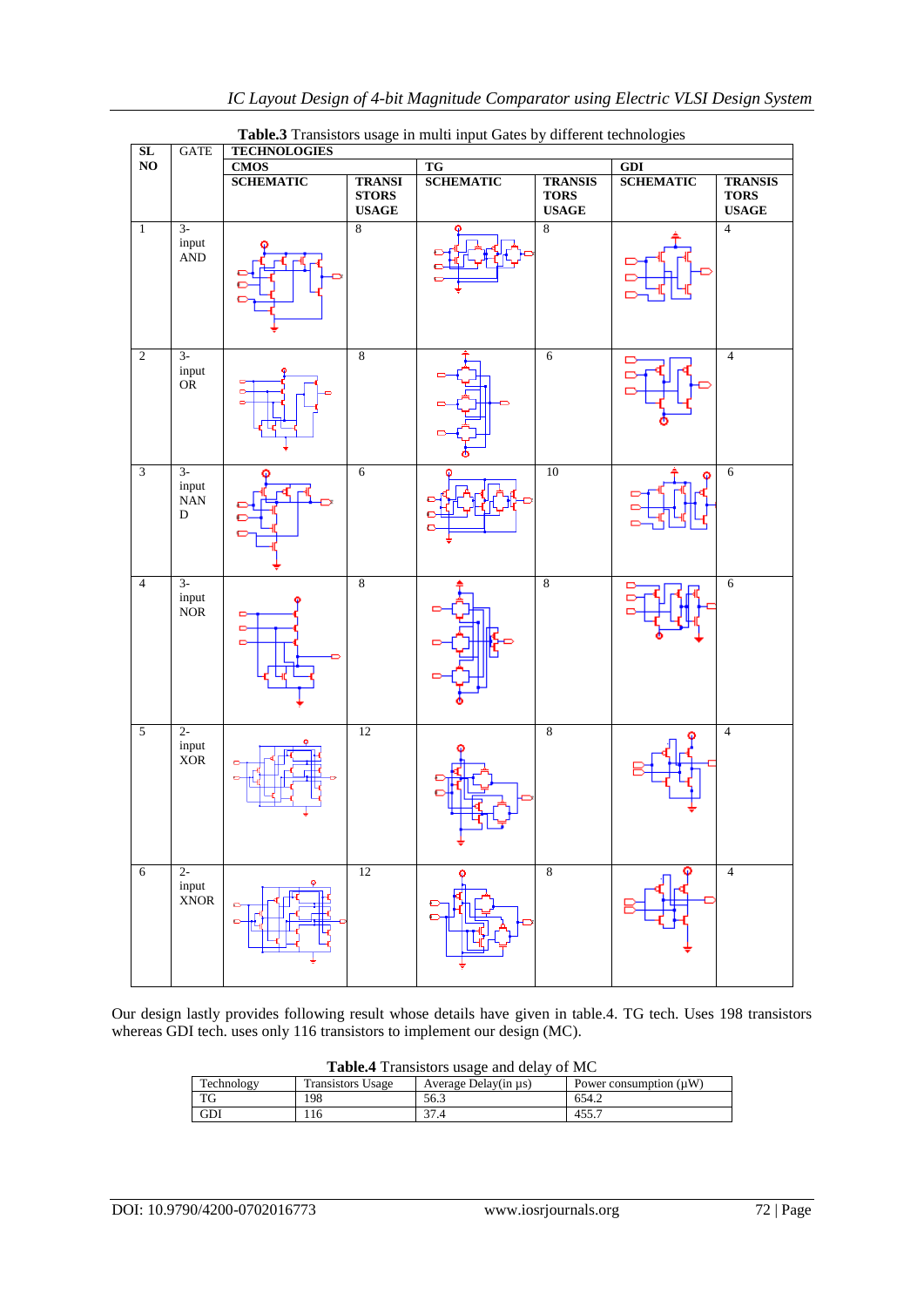

**Table.3** Transistors usage in multi input Gates by different technologies

Our design lastly provides following result whose details have given in table.4. TG tech. Uses 198 transistors whereas GDI tech. uses only 116 transistors to implement our design (MC).

| <b>Table.</b> Transistors usage and delay of MC |                          |                      |                             |  |  |
|-------------------------------------------------|--------------------------|----------------------|-----------------------------|--|--|
| Technology                                      | <b>Transistors Usage</b> | Average Delay(in us) | Power consumption $(\mu W)$ |  |  |
| TG                                              | 198                      | 56.3                 | 654.2                       |  |  |
| GDI                                             | . 16                     | 37.4                 | 455.7                       |  |  |

**Table.4** Transistors usage and delay of MC